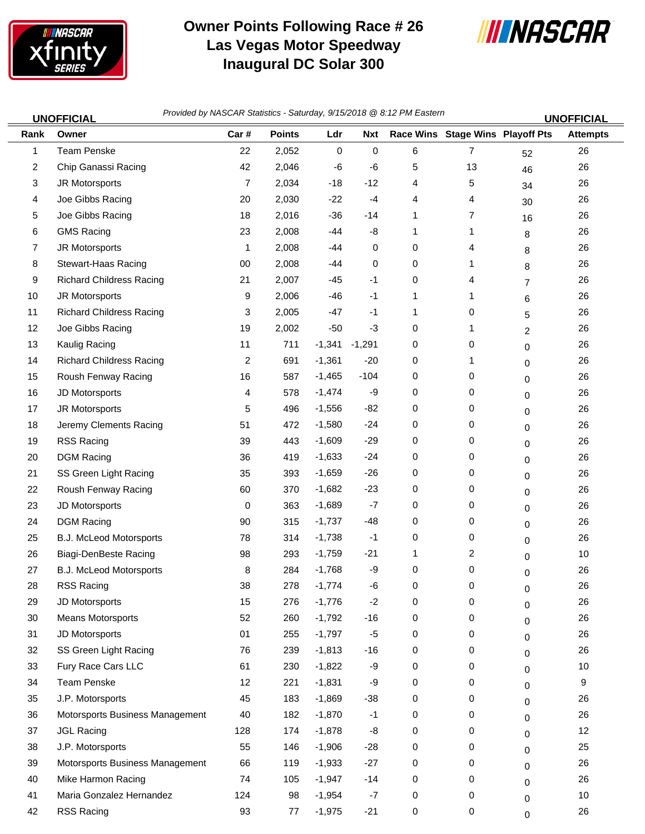

## **Owner Points Following Race # 26 Las Vegas Motor Speedway Inaugural DC Solar 300**



1 Team Penske 22 2,052 0 0 6 7 26 52 2 Chip Ganassi Racing 20 2004 12 2,046 -6 -6 5 13 46 26 3 JR Motorsports 7 2,034 -18 -12 4 5 26 34 4 Joe Gibbs Racing 20 2,030 -22 -4 4 4 <sub>30</sub> 26 5 Joe Gibbs Racing 18 2,016 -36 -14 1 7 <sub>16</sub> 26 6 GMS Racing 23 2,008 -44 -8 1 1 26 8 7 JR Motorsports 1 2,008 -44 0 0 4 26 8 8 Stewart-Haas Racing 00 2,008 -44 0 0 1 26 8 9 Richard Childress Racing 21 2,007 -45 -1 0 4 7 26 10 JR Motorsports 9 2,006 -46 -1 1 1 <sub>6</sub> 26 11 Richard Childress Racing 3 2,005 -47 -1 1 0 26 5 12 Joe Gibbs Racing 19 2,002 -50 -3 0 1 26 2 13 Kaulig Racing 11 711 -1,341 -1,291 0 0 <sub>0</sub> 26 14 Richard Childress Racing 2 691 -1,361 -20 0 1 26 0 15 Roush Fenway Racing 16 16 587 -1,465 -104 0 0 0 0 0 26 16 JD Motorsports 4 578 -1,474 -9 0 0 26 0 17 JR Motorsports 5 496 -1,556 -82 0 0 26 0 18 Jeremy Clements Racing 51 472 -1,580 -24 0 0 26 0 19 RSS Racing 39 443 -1,609 -29 0 0 <sub>0</sub> 26 20 DGM Racing 36 419 -1,633 -24 0 0 26 21 SS Green Light Racing 35 393 -1,659 -26 0 0 26 0 22 Roush Fenway Racing 60 370 -1,682 -23 0 0 26 0 23 JD Motorsports 0 363 -1,689 -7 0 0 26 0 24 DGM Racing 90 315 -1,737 -48 0 0 <sub>0</sub> 26 25 B.J. McLeod Motorsports **78** 314 -1,738 -1 0 0 0 0 0 26 26 Biagi-DenBeste Racing 98 293 -1,759 -21 1 2 10 0 27 B.J. McLeod Motorsports 8 284 -1,768 -9 0 0 26 0 28 RSS Racing 38 278 -1,774 -6 0 0 26 29 JD Motorsports 15 276 -1,776 -2 0 0 26 30 Means Motorsports 52 260 -1,792 -16 0 0 26 0 31 JD Motorsports 01 255 -1,797 -5 0 0 26 32 SS Green Light Racing **76 239 -1,813 -16** 0 0 0 0 0 26 33 Fury Race Cars LLC 61 230 -1,822 -9 0 0 10 0 34 Team Penske 12 221 -1,831 -9 0 0 9 0 35 J.P. Motorsports 45 183 -1,869 -38 0 0 <sub>0</sub> 26 36 Motorsports Business Management 40 182 -1,870 -1 0 0 26 0 37 JGL Racing 128 174 -1,878 -8 0 0 <sub>0</sub> 12 38 J.P. Motorsports 55 146 -1,906 -28 0 0 25 0 39 Motorsports Business Management 66 119 -1,933 -27 0 0 26 0 40 Mike Harmon Racing 74 105 -1,947 -14 0 0 26 0 41 Maria Gonzalez Hernandez 124 98 -1,954 -7 0 0 10 0 **Rank Car # Points Ldr Nxt Race Wins Stage Wins Owner Playoff Pts Attempts***Provided by NASCAR Statistics -* **UNOFFICIAL UNOFFICIAL** *Saturday, 9/15/2018 @ 8:12 PM Eastern*

42 RSS Racing 93 77 -1,975 -21 0 0 26 0